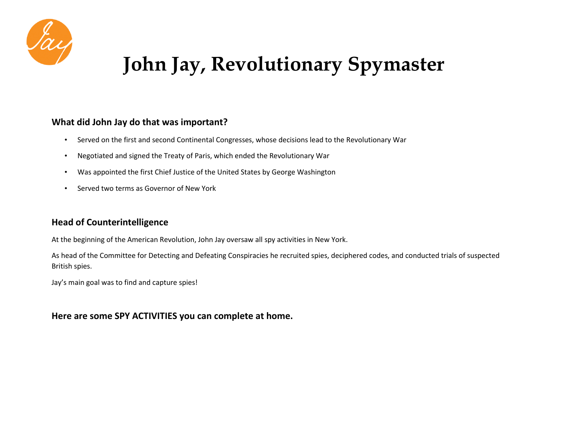

## **John Jay, Revolutionary Spymaster**

## **What did John Jay do that was important?**

- Served on the first and second Continental Congresses, whose decisions lead to the Revolutionary War
- Negotiated and signed the Treaty of Paris, which ended the Revolutionary War
- Was appointed the first Chief Justice of the United States by George Washington
- Served two terms as Governor of New York

## **Head of Counterintelligence**

At the beginning of the American Revolution, John Jay oversaw all spy activities in New York.

As head of the Committee for Detecting and Defeating Conspiracies he recruited spies, deciphered codes, and conducted trials of suspected British spies.

Jay's main goal was to find and capture spies!

## **Here are some SPY ACTIVITIES you can complete at home.**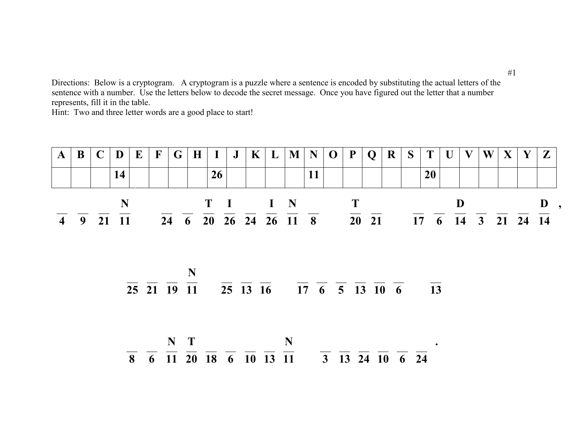Hint: Two and three letter words are a good place to start!

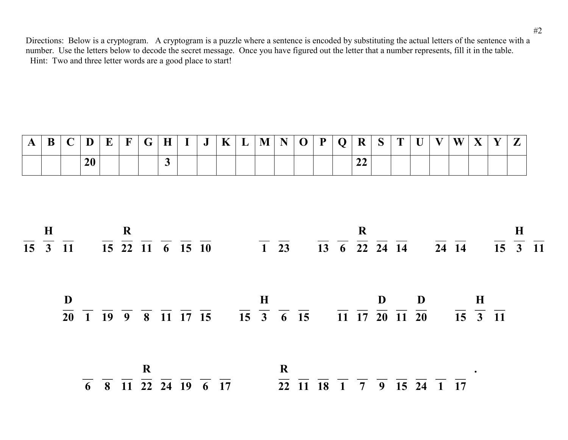| A | B | $\mathbf C$                                                                                                                                                                                                                                 | D         | E | $\mathbf F$ | G |              | J                                                                                                                                                                                                                                                                                        | K | L | M | N | $\Omega$ | P | Q | $\bf R$ | S |  | W | X | Y | $\mathbf{Z}$ |  |
|---|---|---------------------------------------------------------------------------------------------------------------------------------------------------------------------------------------------------------------------------------------------|-----------|---|-------------|---|--------------|------------------------------------------------------------------------------------------------------------------------------------------------------------------------------------------------------------------------------------------------------------------------------------------|---|---|---|---|----------|---|---|---------|---|--|---|---|---|--------------|--|
|   |   |                                                                                                                                                                                                                                             | <b>20</b> |   |             |   | $\mathbf{3}$ |                                                                                                                                                                                                                                                                                          |   |   |   |   |          |   |   | 22      |   |  |   |   |   |              |  |
|   |   | $\frac{H}{15}$ $\frac{R}{3}$ $\frac{R}{11}$ $\frac{R}{15}$ $\frac{R}{22}$ $\frac{R}{11}$ $\frac{R}{6}$ $\frac{R}{13}$ $\frac{R}{6}$ $\frac{R}{22}$ $\frac{R}{24}$ $\frac{R}{14}$ $\frac{R}{24}$ $\frac{H}{15}$ $\frac{3}{3}$ $\frac{H}{11}$ |           |   |             |   |              |                                                                                                                                                                                                                                                                                          |   |   |   |   |          |   |   |         |   |  |   |   |   |              |  |
|   |   |                                                                                                                                                                                                                                             |           |   |             |   |              | $\frac{D}{20}$ $\frac{}{1}$ $\frac{}{19}$ $\frac{}{9}$ $\frac{}{8}$ $\frac{}{11}$ $\frac{}{17}$ $\frac{}{15}$ $\frac{H}{3}$ $\frac{}{6}$ $\frac{}{15}$ $\frac{}{15}$ $\frac{D}{11}$ $\frac{D}{17}$ $\frac{D}{20}$ $\frac{}{11}$ $\frac{D}{20}$ $\frac{}{15}$ $\frac{H}{3}$ $\frac{}{11}$ |   |   |   |   |          |   |   |         |   |  |   |   |   |              |  |
|   |   |                                                                                                                                                                                                                                             |           |   |             |   |              | $\frac{R}{6}$ $\frac{R}{8}$ $\frac{R}{11}$ $\frac{R}{22}$ $\frac{R}{24}$ $\frac{R}{17}$ $\frac{R}{22}$ $\frac{R}{11}$ $\frac{R}{18}$ $\frac{R}{1}$ $\frac{R}{7}$ $\frac{R}{9}$ $\frac{R}{15}$ $\frac{R}{24}$ $\frac{R}{1}$ $\frac{R}{17}$                                                |   |   |   |   |          |   |   |         |   |  |   |   |   |              |  |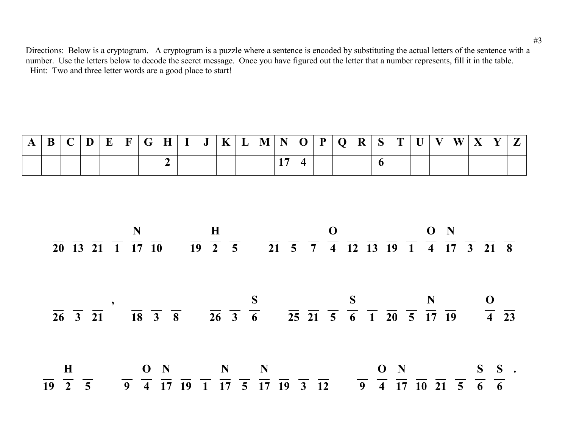| $\mathbf{A}$ | B               | $\mathbf C$                   | D | E | $\mathbf{F}$ | G | $\bf{H}$       | J | K | L | M | N  | $\mathbf{\Omega}$       | P | $\bf{O}$ | R | S |                               | W                                                                                                                                                                                                                                                                                                                 | X | $\mathbf{Z}$ |
|--------------|-----------------|-------------------------------|---|---|--------------|---|----------------|---|---|---|---|----|-------------------------|---|----------|---|---|-------------------------------|-------------------------------------------------------------------------------------------------------------------------------------------------------------------------------------------------------------------------------------------------------------------------------------------------------------------|---|--------------|
|              |                 |                               |   |   |              |   | $\overline{2}$ |   |   |   |   | 17 | $\overline{\mathbf{4}}$ |   |          |   | 6 |                               |                                                                                                                                                                                                                                                                                                                   |   |              |
|              |                 |                               |   |   |              |   |                |   |   |   |   |    |                         |   |          |   |   |                               |                                                                                                                                                                                                                                                                                                                   |   |              |
|              |                 |                               |   |   |              |   |                |   |   |   |   |    |                         |   |          |   |   |                               |                                                                                                                                                                                                                                                                                                                   |   |              |
|              |                 |                               |   |   |              |   |                |   |   |   |   |    |                         |   |          |   |   | $\mathbf{O} \quad \mathbf{N}$ | $\frac{1}{20}$ $\frac{1}{13}$ $\frac{1}{21}$ $\frac{1}{17}$ $\frac{1}{10}$ $\frac{1}{19}$ $\frac{1}{2}$ $\frac{1}{5}$ $\frac{1}{21}$ $\frac{1}{5}$ $\frac{1}{7}$ $\frac{1}{4}$ $\frac{1}{12}$ $\frac{1}{13}$ $\frac{1}{19}$ $\frac{1}{1}$ $\frac{1}{4}$ $\frac{1}{17}$ $\frac{1}{3}$ $\frac{1}{21}$ $\frac{1}{8}$ |   |              |
|              |                 |                               |   |   |              |   |                |   |   |   |   |    |                         |   |          |   |   |                               |                                                                                                                                                                                                                                                                                                                   |   |              |
|              |                 |                               |   |   |              |   |                |   |   |   |   |    |                         |   |          |   |   |                               |                                                                                                                                                                                                                                                                                                                   |   |              |
|              |                 |                               |   |   |              |   |                |   |   |   |   |    |                         |   |          |   |   |                               |                                                                                                                                                                                                                                                                                                                   |   |              |
|              |                 |                               |   |   |              |   |                |   |   |   |   |    |                         |   |          |   |   |                               | $\frac{1}{26}$ $\frac{1}{3}$ $\frac{1}{21}$ $\frac{1}{18}$ $\frac{1}{3}$ $\frac{1}{8}$ $\frac{1}{26}$ $\frac{1}{3}$ $\frac{1}{6}$ $\frac{1}{25}$ $\frac{1}{21}$ $\frac{1}{5}$ $\frac{1}{6}$ $\frac{1}{1}$ $\frac{1}{20}$ $\frac{1}{5}$ $\frac{1}{17}$ $\frac{1}{19}$ $\frac{1}{4}$ $\frac{1}{23}$                 |   |              |
|              |                 |                               |   |   |              |   |                |   |   |   |   |    |                         |   |          |   |   |                               |                                                                                                                                                                                                                                                                                                                   |   |              |
|              |                 | $\bf{H}$                      |   |   |              |   |                |   |   |   |   |    |                         |   |          |   |   |                               |                                                                                                                                                                                                                                                                                                                   |   |              |
|              | $\overline{19}$ | $\overline{2}$ $\overline{5}$ |   |   |              |   |                |   |   |   |   |    |                         |   |          |   |   |                               | $\frac{0}{9}$ $\frac{N}{4}$ $\frac{N}{17}$ $\frac{N}{19}$ $\frac{N}{17}$ $\frac{N}{5}$ $\frac{1}{17}$ $\frac{1}{19}$ $\frac{3}{3}$ $\frac{1}{12}$ $\frac{0}{9}$ $\frac{N}{4}$ $\frac{1}{17}$ $\frac{1}{10}$ $\frac{5}{21}$ $\frac{5}{5}$ $\frac{5}{6}$ $\frac{5}{6}$ $\frac{5}{6}$                                |   |              |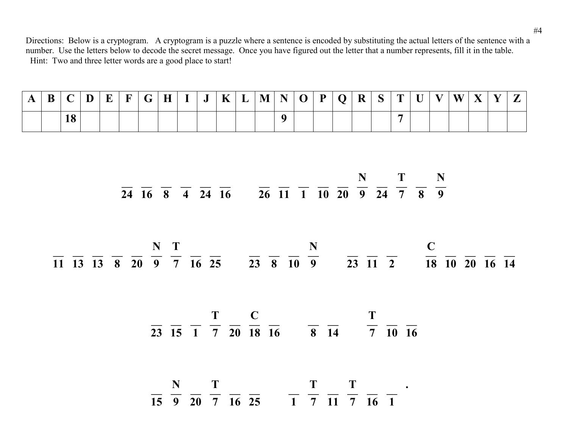| $\boldsymbol{\Lambda}$ | $\mathbf{D}$ | ◡         | D | $\blacksquare$<br>-- | $\sim$ | $\Gamma$<br>$\blacksquare$<br>$\tilde{\phantom{a}}$ | $\mathbf H$ | ு | $\mathbf{r}$<br>V | ப | M | N<br>$\sim$ $\sim$ | ⌒<br>$\tilde{\phantom{a}}$ | D<br>$\overline{\phantom{a}}$ | D<br>K | $\sim$<br>◡ | $\mathbf{r}$ | $\mathbf{r}$ | $\mathbf{v}$<br>$\mathbf{v}$ | W | $\mathbf{v}$ | $\mathbf{r}$ | $\overline{\phantom{0}}$<br>- |
|------------------------|--------------|-----------|---|----------------------|--------|-----------------------------------------------------|-------------|---|-------------------|---|---|--------------------|----------------------------|-------------------------------|--------|-------------|--------------|--------------|------------------------------|---|--------------|--------------|-------------------------------|
|                        |              | 1 Q<br>10 |   |                      |        |                                                     |             |   |                   |   |   |                    |                            |                               |        |             |              |              |                              |   |              |              |                               |

 $\overline{24}$   $\overline{16}$   $\overline{8}$   $\overline{4}$   $\overline{24}$   $\overline{16}$   $\overline{26}$   $\overline{11}$   $\overline{1}$   $\overline{10}$   $\overline{20}$   $\overline{9}$   $\overline{24}$   $\overline{7}$   $\overline{8}$   $\overline{9}$   $\overline{9}$ 



 $\frac{1}{23}$   $\frac{1}{15}$   $\frac{1}{7}$   $\frac{1}{20}$   $\frac{1}{18}$   $\frac{1}{16}$   $\frac{1}{8}$   $\frac{1}{14}$   $\frac{1}{7}$   $\frac{1}{10}$   $\frac{1}{16}$ 

 $\frac{N}{15}$   $\frac{T}{9}$   $\frac{T}{20}$   $\frac{T}{7}$   $\frac{16}{16}$   $\frac{25}{25}$   $\frac{T}{1}$   $\frac{T}{7}$   $\frac{T}{11}$   $\frac{T}{7}$   $\frac{T}{16}$   $\frac{T}{1}$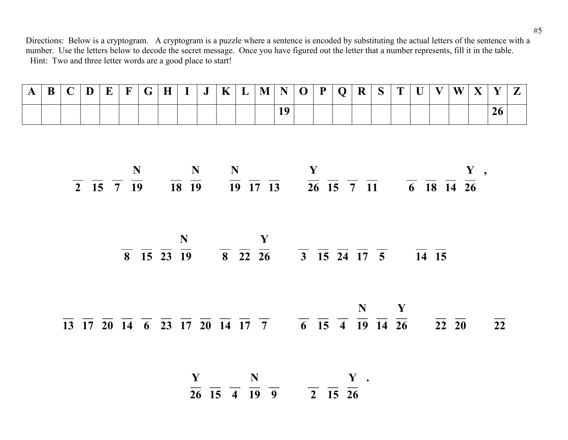| $\bf{B}$ |  |  | C   D   E   F   G |  | $\vert H \vert I \vert J \vert K \vert L \vert.$ |  | $\vert M \vert N \vert O \vert P \vert Q \vert R$ |  |  | $\parallel$ S $\parallel$ | $\mathbf{T}$ $\mathbf{U}$ | $\mathbf{V}$ | $\mathbf{W} \mathbf{X}$ | $\mathbf{V}$ | $\overline{\phantom{a}}$ |
|----------|--|--|-------------------|--|--------------------------------------------------|--|---------------------------------------------------|--|--|---------------------------|---------------------------|--------------|-------------------------|--------------|--------------------------|
|          |  |  |                   |  |                                                  |  | 10                                                |  |  |                           |                           |              |                         |              |                          |

$$
\frac{N}{2} \quad \frac{N}{15} \quad \frac{N}{7} \quad \frac{N}{19} \quad \frac{N}{19} \quad \frac{N}{17} \quad \frac{1}{13} \quad \frac{Y}{26} \quad \frac{1}{15} \quad \frac{1}{7} \quad \frac{1}{11} \quad \frac{1}{6} \quad \frac{1}{18} \quad \frac{Y}{14} \quad \frac{1}{26}
$$

$$
\frac{1}{8} \frac{N}{15} \frac{N}{23} \frac{1}{19} \qquad \frac{1}{8} \frac{Y}{22} \frac{1}{26} \qquad \frac{1}{3} \frac{1}{15} \frac{1}{24} \frac{1}{17} \frac{1}{5} \qquad \frac{1}{14} \frac{1}{15}
$$

**N Y**  $\overline{6}$   $\overline{15}$   $\overline{4}$   $\overline{19}$   $\overline{14}$   $\overline{26}$ **13 17 20 14 6 23 17 20 14 17 7 6 15 4 19 14 26 22 20 22**

$$
\frac{Y}{26} \frac{N}{15} - \frac{N}{19} - \frac{1}{9} - \frac{Y}{2} - \frac{Y}{15} - \frac{Y}{26}
$$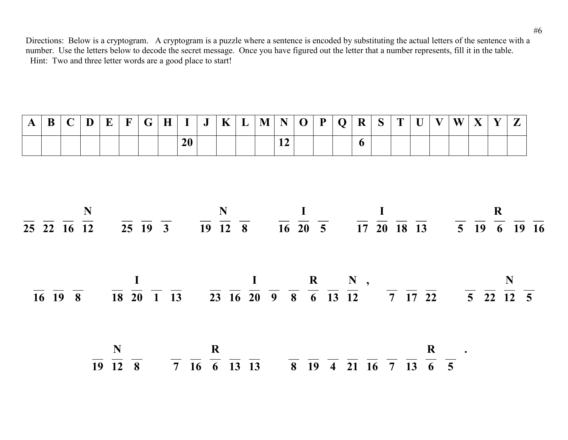| A | B | $\mathbf C$ | D                                                                                                                                                                                                                                                                                                                                                       | E | F | G | $\bf{H}$ |    | $\bf{J}$ | K | L | M | N                                                                                                                                                                                                                                                                     | $\bf{O}$ | P | $\mathbf 0$ | $\bf R$ | S |  | W             | X | $\mathbf{Z}$ |  |
|---|---|-------------|---------------------------------------------------------------------------------------------------------------------------------------------------------------------------------------------------------------------------------------------------------------------------------------------------------------------------------------------------------|---|---|---|----------|----|----------|---|---|---|-----------------------------------------------------------------------------------------------------------------------------------------------------------------------------------------------------------------------------------------------------------------------|----------|---|-------------|---------|---|--|---------------|---|--------------|--|
|   |   |             |                                                                                                                                                                                                                                                                                                                                                         |   |   |   |          | 20 |          |   |   |   | 12                                                                                                                                                                                                                                                                    |          |   |             | 6       |   |  |               |   |              |  |
|   |   |             |                                                                                                                                                                                                                                                                                                                                                         |   |   |   |          |    |          |   |   |   |                                                                                                                                                                                                                                                                       |          |   |             |         |   |  |               |   |              |  |
|   |   |             |                                                                                                                                                                                                                                                                                                                                                         |   |   |   |          |    |          |   |   |   |                                                                                                                                                                                                                                                                       |          |   |             |         |   |  |               |   |              |  |
|   |   |             |                                                                                                                                                                                                                                                                                                                                                         |   |   |   |          |    |          |   |   |   |                                                                                                                                                                                                                                                                       |          |   |             |         |   |  |               |   |              |  |
|   |   |             | $\frac{N}{25}$ $\frac{N}{22}$ $\frac{N}{16}$ $\frac{N}{12}$ $\frac{N}{25}$ $\frac{N}{19}$ $\frac{N}{12}$ $\frac{N}{8}$ $\frac{1}{16}$ $\frac{1}{20}$ $\frac{1}{5}$ $\frac{1}{17}$ $\frac{1}{20}$ $\frac{1}{18}$ $\frac{1}{13}$ $\frac{1}{5}$ $\frac{1}{19}$ $\frac{1}{6}$ $\frac{1}{19}$ $\frac{1}{16}$                                                 |   |   |   |          |    |          |   |   |   |                                                                                                                                                                                                                                                                       |          |   |             |         |   |  |               |   |              |  |
|   |   |             |                                                                                                                                                                                                                                                                                                                                                         |   |   |   |          |    |          |   |   |   |                                                                                                                                                                                                                                                                       |          |   |             |         |   |  |               |   |              |  |
|   |   |             |                                                                                                                                                                                                                                                                                                                                                         |   |   |   |          |    |          |   |   |   |                                                                                                                                                                                                                                                                       |          |   |             |         |   |  |               |   |              |  |
|   |   |             |                                                                                                                                                                                                                                                                                                                                                         |   |   |   |          |    |          |   |   |   |                                                                                                                                                                                                                                                                       |          |   |             |         |   |  |               |   |              |  |
|   |   |             |                                                                                                                                                                                                                                                                                                                                                         |   |   |   |          |    |          |   |   |   |                                                                                                                                                                                                                                                                       |          |   |             |         |   |  |               |   |              |  |
|   |   |             | $\overline{16}$ $\overline{19}$ $\overline{8}$ $\overline{18}$ $\overline{20}$ $\overline{1}$ $\overline{13}$ $\overline{23}$ $\overline{16}$ $\overline{20}$ $\overline{9}$ $\overline{8}$ $\overline{6}$ $\overline{13}$ $\overline{12}$ $\overline{7}$ $\overline{17}$ $\overline{22}$ $\overline{5}$ $\overline{22}$ $\overline{12}$ $\overline{5}$ |   |   |   |          |    |          |   |   |   |                                                                                                                                                                                                                                                                       |          |   |             |         |   |  |               |   |              |  |
|   |   |             |                                                                                                                                                                                                                                                                                                                                                         |   |   |   |          |    |          |   |   |   |                                                                                                                                                                                                                                                                       |          |   |             |         |   |  |               |   |              |  |
|   |   |             |                                                                                                                                                                                                                                                                                                                                                         |   |   |   |          |    |          |   |   |   |                                                                                                                                                                                                                                                                       |          |   |             |         |   |  |               |   |              |  |
|   |   |             |                                                                                                                                                                                                                                                                                                                                                         |   |   |   |          |    |          |   |   |   |                                                                                                                                                                                                                                                                       |          |   |             |         |   |  | $\mathbf R$ . |   |              |  |
|   |   |             |                                                                                                                                                                                                                                                                                                                                                         |   |   |   |          |    |          |   |   |   |                                                                                                                                                                                                                                                                       |          |   |             |         |   |  |               |   |              |  |
|   |   |             |                                                                                                                                                                                                                                                                                                                                                         |   |   |   |          |    |          |   |   |   | $\frac{N}{19}$ $\frac{1}{12}$ $\frac{1}{8}$ $\frac{1}{7}$ $\frac{1}{16}$ $\frac{1}{6}$ $\frac{1}{13}$ $\frac{1}{13}$ $\frac{1}{13}$ $\frac{1}{8}$ $\frac{1}{19}$ $\frac{1}{4}$ $\frac{1}{21}$ $\frac{1}{16}$ $\frac{1}{7}$ $\frac{1}{13}$ $\frac{1}{6}$ $\frac{1}{5}$ |          |   |             |         |   |  |               |   |              |  |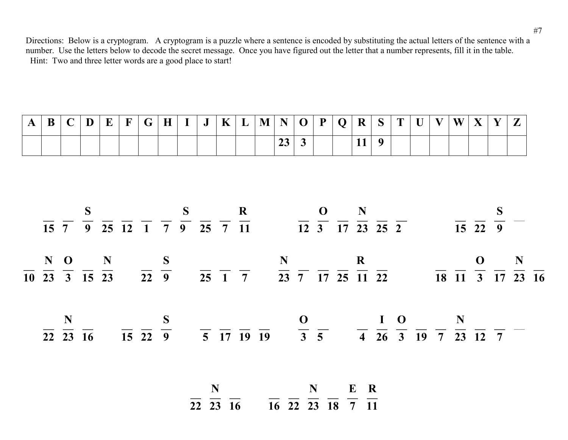| $\frac{S}{15}$ $\frac{S}{7}$ $\frac{S}{9}$ $\frac{S}{25}$ $\frac{S}{12}$ $\frac{S}{7}$ $\frac{R}{11}$ $\frac{O}{12}$ $\frac{N}{3}$ $\frac{S}{17}$ $\frac{S}{23}$ $\frac{S}{25}$ $\frac{S}{2}$ $\frac{S}{15}$ $\frac{S}{22}$ $\frac{S}{9}$ $\frac{S}{15}$                                                         |
|------------------------------------------------------------------------------------------------------------------------------------------------------------------------------------------------------------------------------------------------------------------------------------------------------------------|
|                                                                                                                                                                                                                                                                                                                  |
| $\frac{N}{10}$ $\frac{O}{23}$ $\frac{N}{3}$ $\frac{S}{15}$ $\frac{S}{23}$ $\frac{S}{22}$ $\frac{S}{9}$ $\frac{N}{25}$ $\frac{N}{1}$ $\frac{N}{7}$ $\frac{N}{23}$ $\frac{R}{7}$ $\frac{R}{17}$ $\frac{R}{22}$ $\frac{N}{18}$ $\frac{O}{11}$ $\frac{N}{3}$ $\frac{N}{17}$ $\frac{O}{23}$ $\frac{N}{16}$            |
|                                                                                                                                                                                                                                                                                                                  |
|                                                                                                                                                                                                                                                                                                                  |
| $\frac{N}{22}$ $\frac{N}{23}$ $\frac{N}{16}$ $\frac{S}{15}$ $\frac{S}{22}$ $\frac{S}{9}$ $\frac{1}{5}$ $\frac{1}{17}$ $\frac{1}{19}$ $\frac{1}{3}$ $\frac{1}{5}$ $\frac{1}{3}$ $\frac{1}{5}$ $\frac{1}{4}$ $\frac{0}{26}$ $\frac{1}{3}$ $\frac{0}{19}$ $\frac{N}{7}$ $\frac{1}{23}$ $\frac{1}{12}$ $\frac{1}{7}$ |
|                                                                                                                                                                                                                                                                                                                  |
|                                                                                                                                                                                                                                                                                                                  |

 $\frac{N}{22}$   $\frac{N}{23}$   $\frac{16}{16}$   $\frac{1}{22}$   $\frac{N}{23}$   $\frac{E}{18}$   $\frac{R}{7}$   $\frac{R}{11}$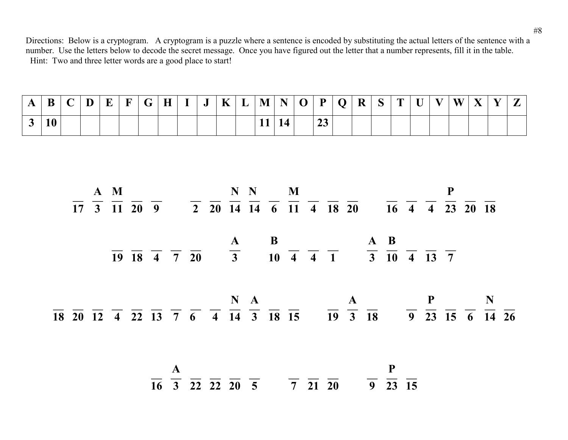| $\mathbf{A}$ | B  | ⌒<br>◡ | D | $\mathbf{F}$<br>┻ | $\mathbf{E}$ | $\sim$<br>$\mathbf U$ | $\mathbf{r}$<br>- | $\overline{\phantom{a}}$ | J | $\mathbf{r}$<br>$\mathbf{r}$ | ᆈ | M          | N<br>$\sim$ | $\sim$<br>$\checkmark$ | D                   | $\sim$<br>$\bullet$ | D<br>$\boldsymbol{\mathcal{U}}$ | $\Omega$<br>$\triangleright$ | $\mathbf{r}$ | $\mathbf{r}$ | $\mathbf{v}$ | W | $\mathbf{v}$ | $\mathbf{v}$ | --<br>- |
|--------------|----|--------|---|-------------------|--------------|-----------------------|-------------------|--------------------------|---|------------------------------|---|------------|-------------|------------------------|---------------------|---------------------|---------------------------------|------------------------------|--------------|--------------|--------------|---|--------------|--------------|---------|
| ັ            | 10 |        |   |                   |              |                       |                   |                          |   |                              |   | <b>A A</b> | 14          |                        | $\mathbf{A}$<br>້⊿ປ |                     |                                 |                              |              |              |              |   |              |              |         |

|  |  | A M N N M |  |  |  |  |                                                                                                                                                                                                                                                                                                                          |  |  |  |                                                                                                                                                                                                                                                                                                                   |  |
|--|--|-----------|--|--|--|--|--------------------------------------------------------------------------------------------------------------------------------------------------------------------------------------------------------------------------------------------------------------------------------------------------------------------------|--|--|--|-------------------------------------------------------------------------------------------------------------------------------------------------------------------------------------------------------------------------------------------------------------------------------------------------------------------|--|
|  |  |           |  |  |  |  | $\overline{17}$ $\overline{3}$ $\overline{11}$ $\overline{20}$ $\overline{9}$ $\overline{2}$ $\overline{20}$ $\overline{14}$ $\overline{14}$ $\overline{6}$ $\overline{11}$ $\overline{4}$ $\overline{18}$ $\overline{20}$ $\overline{16}$ $\overline{4}$ $\overline{4}$ $\overline{23}$ $\overline{20}$ $\overline{18}$ |  |  |  |                                                                                                                                                                                                                                                                                                                   |  |
|  |  |           |  |  |  |  | $\frac{1}{19}$ $\frac{1}{18}$ $\frac{1}{4}$ $\frac{1}{7}$ $\frac{1}{20}$ $\frac{1}{3}$ $\frac{1}{10}$ $\frac{1}{4}$ $\frac{1}{4}$ $\frac{1}{10}$ $\frac{1}{4}$ $\frac{1}{10}$ $\frac{1}{4}$ $\frac{1}{13}$ $\frac{1}{7}$                                                                                                 |  |  |  |                                                                                                                                                                                                                                                                                                                   |  |
|  |  |           |  |  |  |  |                                                                                                                                                                                                                                                                                                                          |  |  |  | $\frac{1}{18}$ $\frac{1}{20}$ $\frac{1}{12}$ $\frac{1}{4}$ $\frac{1}{22}$ $\frac{1}{13}$ $\frac{1}{7}$ $\frac{1}{6}$ $\frac{1}{4}$ $\frac{1}{14}$ $\frac{1}{3}$ $\frac{1}{15}$ $\frac{1}{19}$ $\frac{1}{3}$ $\frac{1}{18}$ $\frac{1}{3}$ $\frac{1}{18}$ $\frac{1}{9}$ $\frac{1}{23}$ $\frac{1}{15}$ $\frac{1}{6}$ |  |
|  |  |           |  |  |  |  | $rac{A}{16}$ $rac{A}{3}$ $rac{22}{22}$ $rac{20}{20}$ $rac{5}{5}$ $rac{7}{7}$ $rac{21}{21}$ $rac{20}{20}$ $rac{P}{9}$ $rac{1}{23}$ $rac{15}{15}$                                                                                                                                                                          |  |  |  |                                                                                                                                                                                                                                                                                                                   |  |